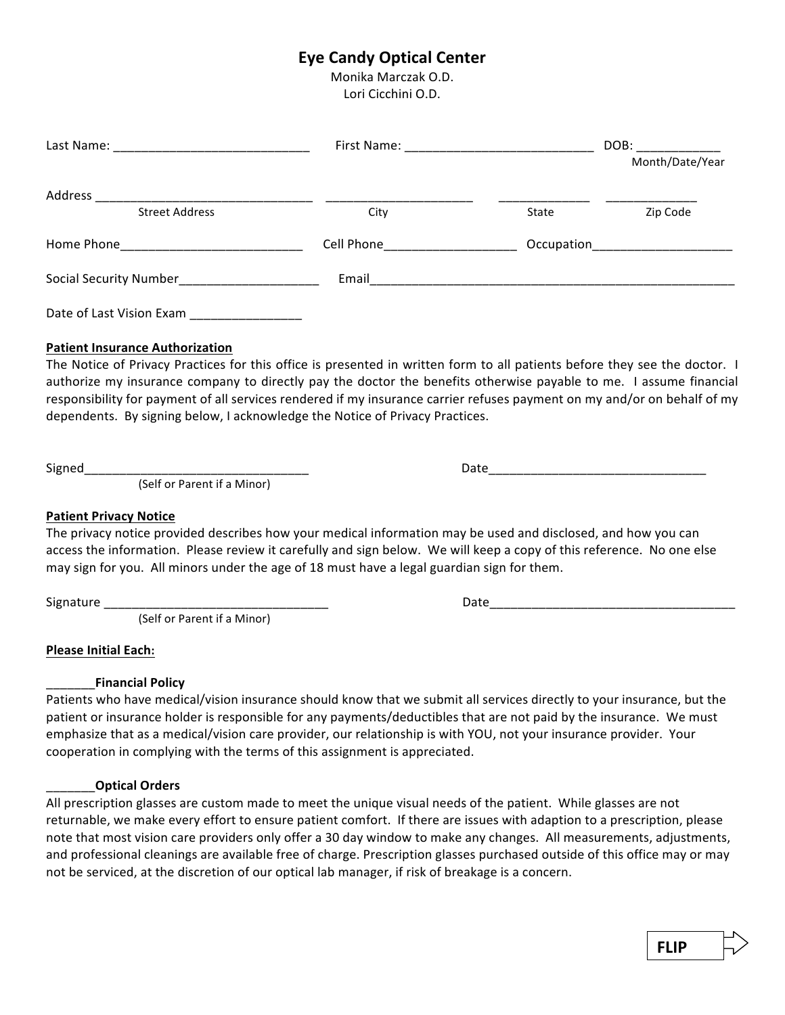## **Eye Candy Optical Center**

Monika Marczak O.D. Lori Cicchini O.D.

|                                  |                              |       | DOB: _________<br>Month/Date/Year |
|----------------------------------|------------------------------|-------|-----------------------------------|
| Address<br><b>Street Address</b> | City                         | State | Zip Code                          |
|                                  | Cell Phone <b>Cell</b> Phone |       | Occupation<br><u> </u>            |
|                                  | Email                        |       |                                   |
| Date of Last Vision Exam         |                              |       |                                   |

#### **Patient Insurance Authorization**

The Notice of Privacy Practices for this office is presented in written form to all patients before they see the doctor. I authorize my insurance company to directly pay the doctor the benefits otherwise payable to me. I assume financial responsibility for payment of all services rendered if my insurance carrier refuses payment on my and/or on behalf of my dependents. By signing below, I acknowledge the Notice of Privacy Practices.

Signed\_\_\_\_\_\_\_\_\_\_\_\_\_\_\_\_\_\_\_\_\_\_\_\_\_\_\_\_\_\_\_\_ Date\_\_\_\_\_\_\_\_\_\_\_\_\_\_\_\_\_\_\_\_\_\_\_\_\_\_\_\_\_\_\_

(Self or Parent if a Minor)

**Patient Privacy Notice** 

The privacy notice provided describes how your medical information may be used and disclosed, and how you can access the information. Please review it carefully and sign below. We will keep a copy of this reference. No one else may sign for you. All minors under the age of 18 must have a legal guardian sign for them.

(Self or Parent if a Minor)

**Please Initial Each:** 

#### \_\_\_\_\_\_\_**Financial Policy**

Patients who have medical/vision insurance should know that we submit all services directly to your insurance, but the patient or insurance holder is responsible for any payments/deductibles that are not paid by the insurance. We must emphasize that as a medical/vision care provider, our relationship is with YOU, not your insurance provider. Your cooperation in complying with the terms of this assignment is appreciated.

#### \_\_\_\_\_\_\_**Optical Orders**

All prescription glasses are custom made to meet the unique visual needs of the patient. While glasses are not returnable, we make every effort to ensure patient comfort. If there are issues with adaption to a prescription, please note that most vision care providers only offer a 30 day window to make any changes. All measurements, adjustments, and professional cleanings are available free of charge. Prescription glasses purchased outside of this office may or may not be serviced, at the discretion of our optical lab manager, if risk of breakage is a concern.

Signature \_\_\_\_\_\_\_\_\_\_\_\_\_\_\_\_\_\_\_\_\_\_\_\_\_\_\_\_\_\_\_\_ Date\_\_\_\_\_\_\_\_\_\_\_\_\_\_\_\_\_\_\_\_\_\_\_\_\_\_\_\_\_\_\_\_\_\_\_

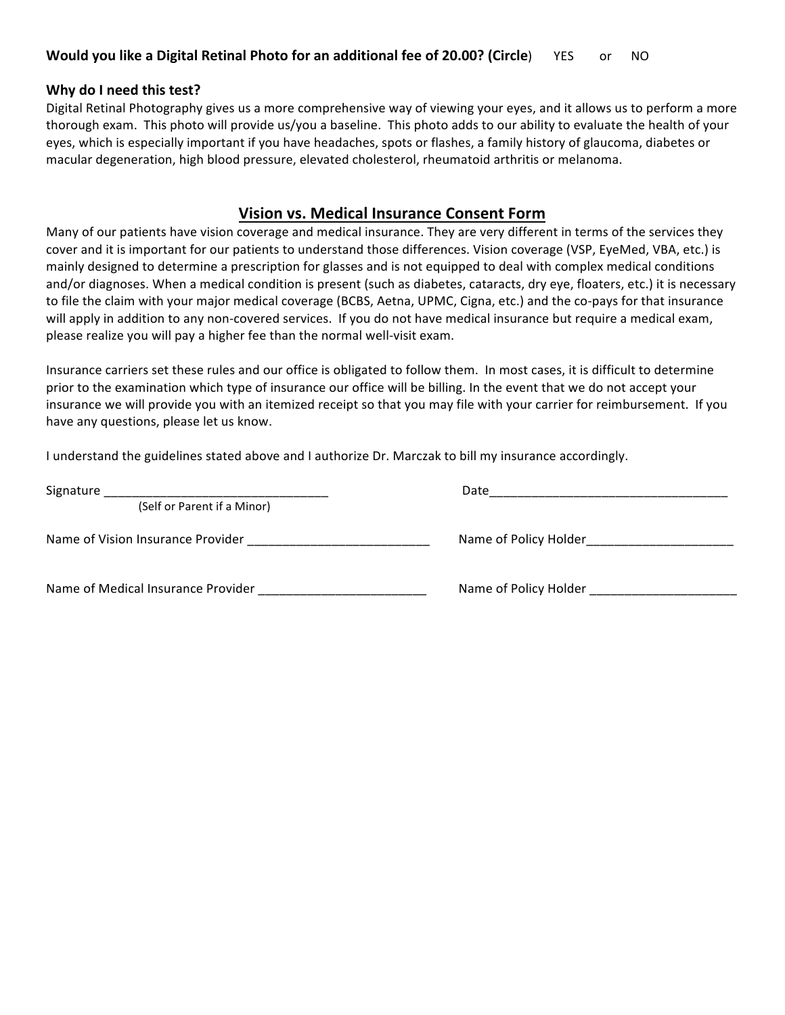#### **Why do I need this test?**

Digital Retinal Photography gives us a more comprehensive way of viewing your eyes, and it allows us to perform a more thorough exam. This photo will provide us/you a baseline. This photo adds to our ability to evaluate the health of your eyes, which is especially important if you have headaches, spots or flashes, a family history of glaucoma, diabetes or macular degeneration, high blood pressure, elevated cholesterol, rheumatoid arthritis or melanoma.

#### **Vision vs. Medical Insurance Consent Form**

Many of our patients have vision coverage and medical insurance. They are very different in terms of the services they cover and it is important for our patients to understand those differences. Vision coverage (VSP, EveMed, VBA, etc.) is mainly designed to determine a prescription for glasses and is not equipped to deal with complex medical conditions and/or diagnoses. When a medical condition is present (such as diabetes, cataracts, dry eye, floaters, etc.) it is necessary to file the claim with your major medical coverage (BCBS, Aetna, UPMC, Cigna, etc.) and the co-pays for that insurance will apply in addition to any non-covered services. If you do not have medical insurance but require a medical exam, please realize you will pay a higher fee than the normal well-visit exam.

Insurance carriers set these rules and our office is obligated to follow them. In most cases, it is difficult to determine prior to the examination which type of insurance our office will be billing. In the event that we do not accept your insurance we will provide you with an itemized receipt so that you may file with your carrier for reimbursement. If you have any questions, please let us know.

I understand the guidelines stated above and I authorize Dr. Marczak to bill my insurance accordingly.

| Signature                          | Date                  |
|------------------------------------|-----------------------|
| (Self or Parent if a Minor)        |                       |
| Name of Vision Insurance Provider  | Name of Policy Holder |
| Name of Medical Insurance Provider | Name of Policy Holder |